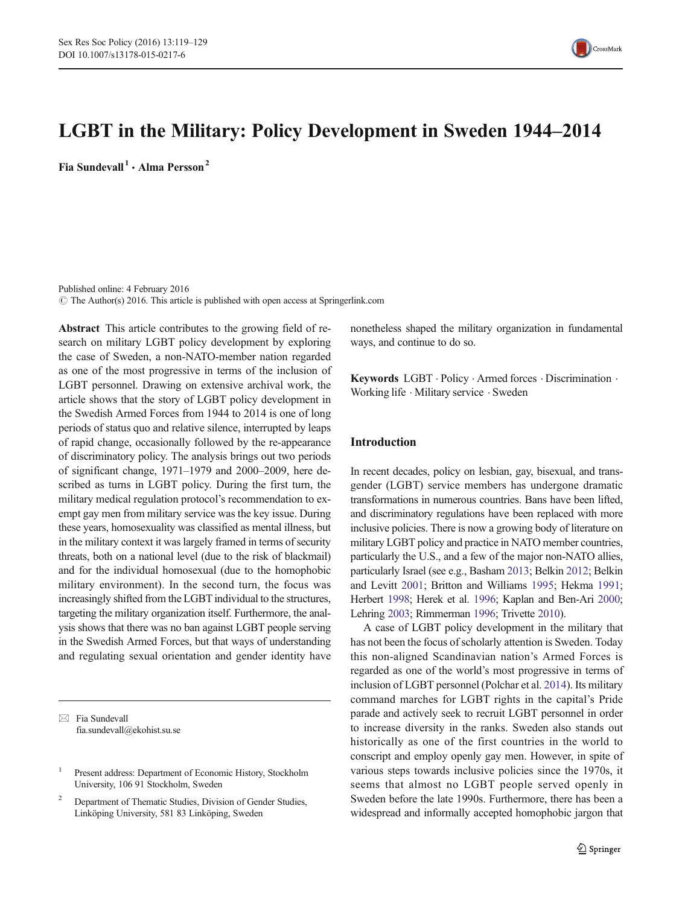

# LGBT in the Military: Policy Development in Sweden 1944–2014

Fia Sundevall<sup>1</sup>  $\cdot$  Alma Persson<sup>2</sup>

Published online: 4 February 2016  $\odot$  The Author(s) 2016. This article is published with open access at Springerlink.com

Abstract This article contributes to the growing field of research on military LGBT policy development by exploring the case of Sweden, a non-NATO-member nation regarded as one of the most progressive in terms of the inclusion of LGBT personnel. Drawing on extensive archival work, the article shows that the story of LGBT policy development in the Swedish Armed Forces from 1944 to 2014 is one of long periods of status quo and relative silence, interrupted by leaps of rapid change, occasionally followed by the re-appearance of discriminatory policy. The analysis brings out two periods of significant change, 1971–1979 and 2000–2009, here described as turns in LGBT policy. During the first turn, the military medical regulation protocol's recommendation to exempt gay men from military service was the key issue. During these years, homosexuality was classified as mental illness, but in the military context it was largely framed in terms of security threats, both on a national level (due to the risk of blackmail) and for the individual homosexual (due to the homophobic military environment). In the second turn, the focus was increasingly shifted from the LGBT individual to the structures, targeting the military organization itself. Furthermore, the analysis shows that there was no ban against LGBT people serving in the Swedish Armed Forces, but that ways of understanding and regulating sexual orientation and gender identity have

 $\boxtimes$  Fia Sundevall fia.sundevall@ekohist.su.se nonetheless shaped the military organization in fundamental ways, and continue to do so.

Keywords LGBT . Policy . Armed forces . Discrimination . Working life . Military service . Sweden

### Introduction

In recent decades, policy on lesbian, gay, bisexual, and transgender (LGBT) service members has undergone dramatic transformations in numerous countries. Bans have been lifted, and discriminatory regulations have been replaced with more inclusive policies. There is now a growing body of literature on military LGBT policy and practice in NATO member countries, particularly the U.S., and a few of the major non-NATO allies, particularly Israel (see e.g., Basham [2013](#page-9-0); Belkin [2012;](#page-9-0) Belkin and Levitt [2001](#page-9-0); Britton and Williams [1995;](#page-9-0) Hekma [1991;](#page-9-0) Herbert [1998;](#page-9-0) Herek et al. [1996;](#page-9-0) Kaplan and Ben-Ari [2000;](#page-9-0) Lehring [2003;](#page-9-0) Rimmerman [1996;](#page-10-0) Trivette [2010](#page-10-0)).

A case of LGBT policy development in the military that has not been the focus of scholarly attention is Sweden. Today this non-aligned Scandinavian nation's Armed Forces is regarded as one of the world's most progressive in terms of inclusion of LGBT personnel (Polchar et al. [2014\)](#page-10-0). Its military command marches for LGBT rights in the capital's Pride parade and actively seek to recruit LGBT personnel in order to increase diversity in the ranks. Sweden also stands out historically as one of the first countries in the world to conscript and employ openly gay men. However, in spite of various steps towards inclusive policies since the 1970s, it seems that almost no LGBT people served openly in Sweden before the late 1990s. Furthermore, there has been a widespread and informally accepted homophobic jargon that

Present address: Department of Economic History, Stockholm University, 106 91 Stockholm, Sweden

<sup>&</sup>lt;sup>2</sup> Department of Thematic Studies, Division of Gender Studies, Linköping University, 581 83 Linköping, Sweden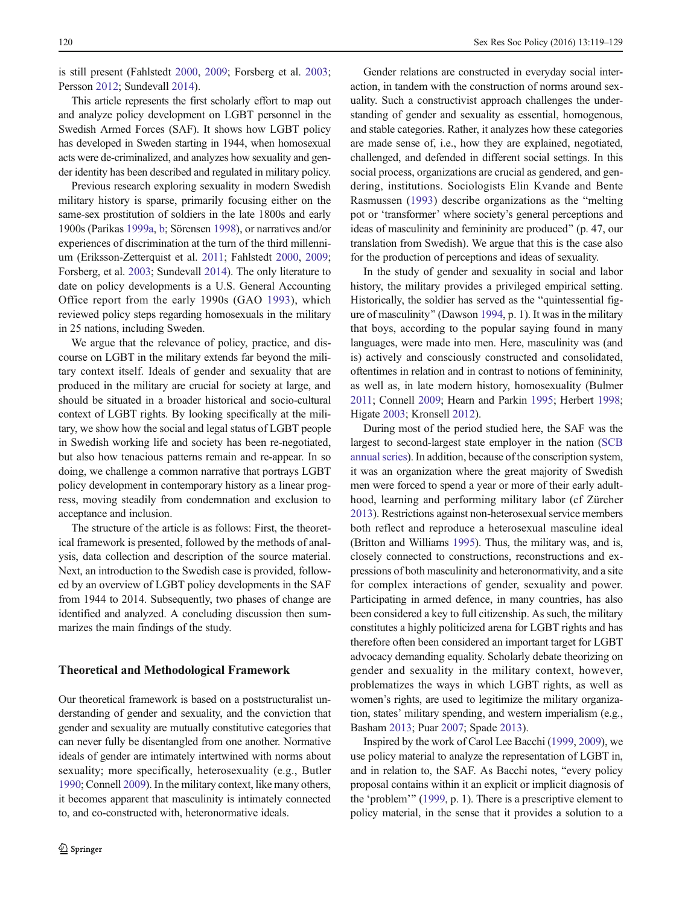is still present (Fahlstedt [2000,](#page-9-0) [2009;](#page-9-0) Forsberg et al. [2003](#page-9-0); Persson [2012](#page-10-0); Sundevall [2014\)](#page-10-0).

This article represents the first scholarly effort to map out and analyze policy development on LGBT personnel in the Swedish Armed Forces (SAF). It shows how LGBT policy has developed in Sweden starting in 1944, when homosexual acts were de-criminalized, and analyzes how sexuality and gender identity has been described and regulated in military policy.

Previous research exploring sexuality in modern Swedish military history is sparse, primarily focusing either on the same-sex prostitution of soldiers in the late 1800s and early 1900s (Parikas [1999a](#page-9-0), [b;](#page-9-0) Sörensen [1998](#page-10-0)), or narratives and/or experiences of discrimination at the turn of the third millennium (Eriksson-Zetterquist et al. [2011;](#page-9-0) Fahlstedt [2000,](#page-9-0) [2009](#page-9-0); Forsberg, et al. [2003;](#page-9-0) Sundevall [2014](#page-10-0)). The only literature to date on policy developments is a U.S. General Accounting Office report from the early 1990s (GAO [1993\)](#page-9-0), which reviewed policy steps regarding homosexuals in the military in 25 nations, including Sweden.

We argue that the relevance of policy, practice, and discourse on LGBT in the military extends far beyond the military context itself. Ideals of gender and sexuality that are produced in the military are crucial for society at large, and should be situated in a broader historical and socio-cultural context of LGBT rights. By looking specifically at the military, we show how the social and legal status of LGBT people in Swedish working life and society has been re-negotiated, but also how tenacious patterns remain and re-appear. In so doing, we challenge a common narrative that portrays LGBT policy development in contemporary history as a linear progress, moving steadily from condemnation and exclusion to acceptance and inclusion.

The structure of the article is as follows: First, the theoretical framework is presented, followed by the methods of analysis, data collection and description of the source material. Next, an introduction to the Swedish case is provided, followed by an overview of LGBT policy developments in the SAF from 1944 to 2014. Subsequently, two phases of change are identified and analyzed. A concluding discussion then summarizes the main findings of the study.

#### Theoretical and Methodological Framework

Our theoretical framework is based on a poststructuralist understanding of gender and sexuality, and the conviction that gender and sexuality are mutually constitutive categories that can never fully be disentangled from one another. Normative ideals of gender are intimately intertwined with norms about sexuality; more specifically, heterosexuality (e.g., Butler [1990;](#page-9-0) Connell [2009](#page-9-0)). In the military context, like many others, it becomes apparent that masculinity is intimately connected to, and co-constructed with, heteronormative ideals.

Gender relations are constructed in everyday social interaction, in tandem with the construction of norms around sexuality. Such a constructivist approach challenges the understanding of gender and sexuality as essential, homogenous, and stable categories. Rather, it analyzes how these categories are made sense of, i.e., how they are explained, negotiated, challenged, and defended in different social settings. In this social process, organizations are crucial as gendered, and gendering, institutions. Sociologists Elin Kvande and Bente Rasmussen [\(1993\)](#page-9-0) describe organizations as the "melting pot or 'transformer' where society's general perceptions and ideas of masculinity and femininity are produced^ (p. 47, our translation from Swedish). We argue that this is the case also for the production of perceptions and ideas of sexuality.

In the study of gender and sexuality in social and labor history, the military provides a privileged empirical setting. Historically, the soldier has served as the "quintessential fig-ure of masculinity" (Dawson [1994](#page-9-0), p. 1). It was in the military that boys, according to the popular saying found in many languages, were made into men. Here, masculinity was (and is) actively and consciously constructed and consolidated, oftentimes in relation and in contrast to notions of femininity, as well as, in late modern history, homosexuality (Bulmer [2011](#page-9-0); Connell [2009;](#page-9-0) Hearn and Parkin [1995](#page-9-0); Herbert [1998;](#page-9-0) Higate [2003](#page-9-0); Kronsell [2012\)](#page-9-0).

During most of the period studied here, the SAF was the largest to second-largest state employer in the nation ([SCB](#page-10-0) [annual series\)](#page-10-0). In addition, because of the conscription system, it was an organization where the great majority of Swedish men were forced to spend a year or more of their early adulthood, learning and performing military labor (cf Zürcher [2013\)](#page-10-0). Restrictions against non-heterosexual service members both reflect and reproduce a heterosexual masculine ideal (Britton and Williams [1995\)](#page-9-0). Thus, the military was, and is, closely connected to constructions, reconstructions and expressions of both masculinity and heteronormativity, and a site for complex interactions of gender, sexuality and power. Participating in armed defence, in many countries, has also been considered a key to full citizenship. As such, the military constitutes a highly politicized arena for LGBT rights and has therefore often been considered an important target for LGBT advocacy demanding equality. Scholarly debate theorizing on gender and sexuality in the military context, however, problematizes the ways in which LGBT rights, as well as women's rights, are used to legitimize the military organization, states' military spending, and western imperialism (e.g., Basham [2013;](#page-9-0) Puar [2007;](#page-10-0) Spade [2013](#page-10-0)).

Inspired by the work of Carol Lee Bacchi [\(1999](#page-8-0), [2009](#page-8-0)), we use policy material to analyze the representation of LGBT in, and in relation to, the SAF. As Bacchi notes, "every policy proposal contains within it an explicit or implicit diagnosis of the 'problem'" [\(1999,](#page-8-0) p. 1). There is a prescriptive element to policy material, in the sense that it provides a solution to a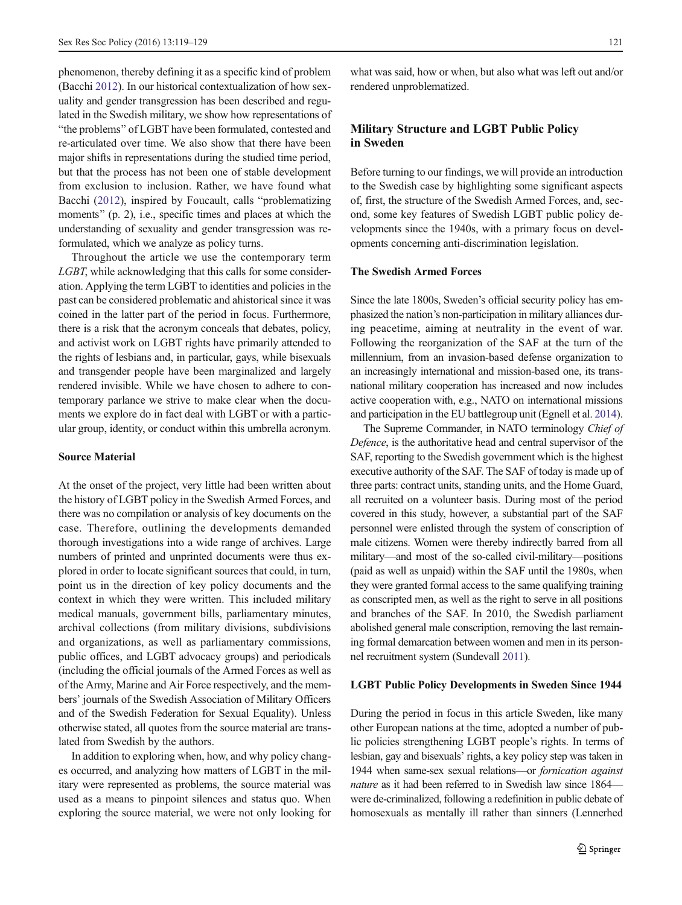phenomenon, thereby defining it as a specific kind of problem (Bacchi [2012\)](#page-8-0). In our historical contextualization of how sexuality and gender transgression has been described and regulated in the Swedish military, we show how representations of "the problems" of LGBT have been formulated, contested and re-articulated over time. We also show that there have been major shifts in representations during the studied time period, but that the process has not been one of stable development from exclusion to inclusion. Rather, we have found what Bacchi [\(2012](#page-8-0)), inspired by Foucault, calls "problematizing moments" (p. 2), i.e., specific times and places at which the understanding of sexuality and gender transgression was reformulated, which we analyze as policy turns.

Throughout the article we use the contemporary term LGBT, while acknowledging that this calls for some consideration. Applying the term LGBT to identities and policies in the past can be considered problematic and ahistorical since it was coined in the latter part of the period in focus. Furthermore, there is a risk that the acronym conceals that debates, policy, and activist work on LGBT rights have primarily attended to the rights of lesbians and, in particular, gays, while bisexuals and transgender people have been marginalized and largely rendered invisible. While we have chosen to adhere to contemporary parlance we strive to make clear when the documents we explore do in fact deal with LGBT or with a particular group, identity, or conduct within this umbrella acronym.

#### Source Material

At the onset of the project, very little had been written about the history of LGBT policy in the Swedish Armed Forces, and there was no compilation or analysis of key documents on the case. Therefore, outlining the developments demanded thorough investigations into a wide range of archives. Large numbers of printed and unprinted documents were thus explored in order to locate significant sources that could, in turn, point us in the direction of key policy documents and the context in which they were written. This included military medical manuals, government bills, parliamentary minutes, archival collections (from military divisions, subdivisions and organizations, as well as parliamentary commissions, public offices, and LGBT advocacy groups) and periodicals (including the official journals of the Armed Forces as well as of the Army, Marine and Air Force respectively, and the members' journals of the Swedish Association of Military Officers and of the Swedish Federation for Sexual Equality). Unless otherwise stated, all quotes from the source material are translated from Swedish by the authors.

In addition to exploring when, how, and why policy changes occurred, and analyzing how matters of LGBT in the military were represented as problems, the source material was used as a means to pinpoint silences and status quo. When exploring the source material, we were not only looking for

what was said, how or when, but also what was left out and/or rendered unproblematized.

## Military Structure and LGBT Public Policy in Sweden

Before turning to our findings, we will provide an introduction to the Swedish case by highlighting some significant aspects of, first, the structure of the Swedish Armed Forces, and, second, some key features of Swedish LGBT public policy developments since the 1940s, with a primary focus on developments concerning anti-discrimination legislation.

#### The Swedish Armed Forces

Since the late 1800s, Sweden's official security policy has emphasized the nation's non-participation in military alliances during peacetime, aiming at neutrality in the event of war. Following the reorganization of the SAF at the turn of the millennium, from an invasion-based defense organization to an increasingly international and mission-based one, its transnational military cooperation has increased and now includes active cooperation with, e.g., NATO on international missions and participation in the EU battlegroup unit (Egnell et al. [2014\)](#page-9-0).

The Supreme Commander, in NATO terminology Chief of Defence, is the authoritative head and central supervisor of the SAF, reporting to the Swedish government which is the highest executive authority of the SAF. The SAF of today is made up of three parts: contract units, standing units, and the Home Guard, all recruited on a volunteer basis. During most of the period covered in this study, however, a substantial part of the SAF personnel were enlisted through the system of conscription of male citizens. Women were thereby indirectly barred from all military—and most of the so-called civil-military—positions (paid as well as unpaid) within the SAF until the 1980s, when they were granted formal access to the same qualifying training as conscripted men, as well as the right to serve in all positions and branches of the SAF. In 2010, the Swedish parliament abolished general male conscription, removing the last remaining formal demarcation between women and men in its personnel recruitment system (Sundevall [2011\)](#page-10-0).

#### LGBT Public Policy Developments in Sweden Since 1944

During the period in focus in this article Sweden, like many other European nations at the time, adopted a number of public policies strengthening LGBT people's rights. In terms of lesbian, gay and bisexuals' rights, a key policy step was taken in 1944 when same-sex sexual relations—or fornication against nature as it had been referred to in Swedish law since 1864were de-criminalized, following a redefinition in public debate of homosexuals as mentally ill rather than sinners (Lennerhed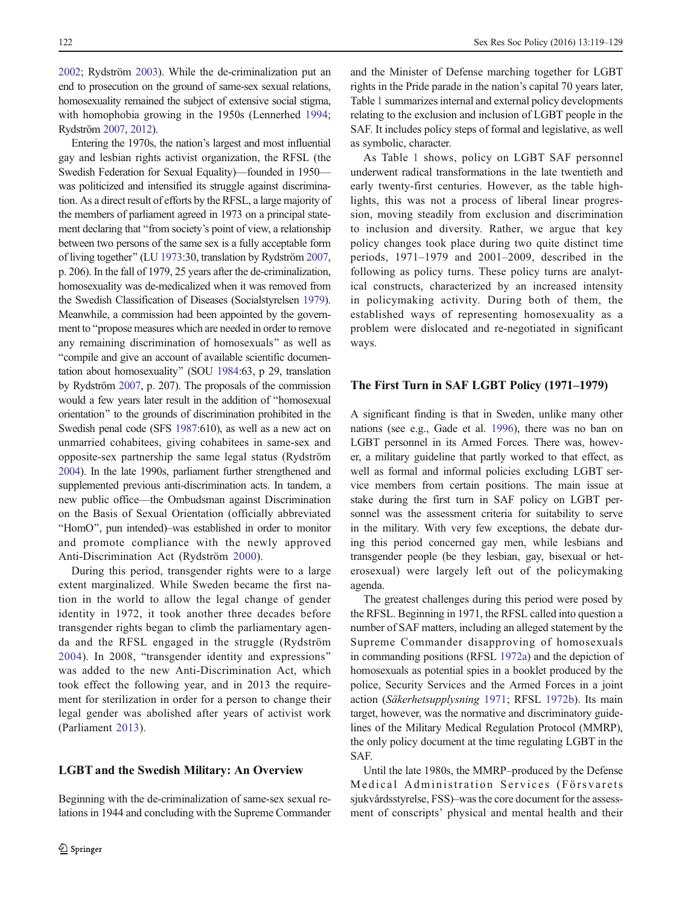[2002](#page-9-0); Rydström [2003\)](#page-10-0). While the de-criminalization put an end to prosecution on the ground of same-sex sexual relations, homosexuality remained the subject of extensive social stigma, with homophobia growing in the 1950s (Lennerhed [1994](#page-9-0); Rydström [2007](#page-10-0), [2012\)](#page-10-0).

Entering the 1970s, the nation's largest and most influential gay and lesbian rights activist organization, the RFSL (the Swedish Federation for Sexual Equality)—founded in 1950 was politicized and intensified its struggle against discrimination. As a direct result of efforts by the RFSL, a large majority of the members of parliament agreed in 1973 on a principal statement declaring that "from society's point of view, a relationship between two persons of the same sex is a fully acceptable form of living together^ (LU [1973](#page-10-0):30, translation by Rydström [2007,](#page-10-0) p. 206). In the fall of 1979, 25 years after the de-criminalization, homosexuality was de-medicalized when it was removed from the Swedish Classification of Diseases (Socialstyrelsen [1979\)](#page-10-0). Meanwhile, a commission had been appointed by the government to "propose measures which are needed in order to remove any remaining discrimination of homosexuals^ as well as "compile and give an account of available scientific documen-tation about homosexuality" (SOU [1984:](#page-10-0)63, p 29, translation by Rydström [2007,](#page-10-0) p. 207). The proposals of the commission would a few years later result in the addition of "homosexual orientation" to the grounds of discrimination prohibited in the Swedish penal code (SFS [1987](#page-10-0):610), as well as a new act on unmarried cohabitees, giving cohabitees in same-sex and opposite-sex partnership the same legal status (Rydström [2004](#page-10-0)). In the late 1990s, parliament further strengthened and supplemented previous anti-discrimination acts. In tandem, a new public office—the Ombudsman against Discrimination on the Basis of Sexual Orientation (officially abbreviated "HomO", pun intended)–was established in order to monitor and promote compliance with the newly approved Anti-Discrimination Act (Rydström [2000](#page-10-0)).

During this period, transgender rights were to a large extent marginalized. While Sweden became the first nation in the world to allow the legal change of gender identity in 1972, it took another three decades before transgender rights began to climb the parliamentary agenda and the RFSL engaged in the struggle (Rydström [2004\)](#page-10-0). In 2008, "transgender identity and expressions" was added to the new Anti-Discrimination Act, which took effect the following year, and in 2013 the requirement for sterilization in order for a person to change their legal gender was abolished after years of activist work (Parliament [2013\)](#page-10-0).

#### LGBT and the Swedish Military: An Overview

Beginning with the de-criminalization of same-sex sexual relations in 1944 and concluding with the Supreme Commander

and the Minister of Defense marching together for LGBT rights in the Pride parade in the nation's capital 70 years later, Table [1](#page-4-0) summarizes internal and external policy developments relating to the exclusion and inclusion of LGBT people in the SAF. It includes policy steps of formal and legislative, as well as symbolic, character.

As Table [1](#page-4-0) shows, policy on LGBT SAF personnel underwent radical transformations in the late twentieth and early twenty-first centuries. However, as the table highlights, this was not a process of liberal linear progression, moving steadily from exclusion and discrimination to inclusion and diversity. Rather, we argue that key policy changes took place during two quite distinct time periods, 1971–1979 and 2001–2009, described in the following as policy turns. These policy turns are analytical constructs, characterized by an increased intensity in policymaking activity. During both of them, the established ways of representing homosexuality as a problem were dislocated and re-negotiated in significant ways.

#### The First Turn in SAF LGBT Policy (1971–1979)

A significant finding is that in Sweden, unlike many other nations (see e.g., Gade et al. [1996\)](#page-9-0), there was no ban on LGBT personnel in its Armed Forces. There was, however, a military guideline that partly worked to that effect, as well as formal and informal policies excluding LGBT service members from certain positions. The main issue at stake during the first turn in SAF policy on LGBT personnel was the assessment criteria for suitability to serve in the military. With very few exceptions, the debate during this period concerned gay men, while lesbians and transgender people (be they lesbian, gay, bisexual or heterosexual) were largely left out of the policymaking agenda.

The greatest challenges during this period were posed by the RFSL. Beginning in 1971, the RFSL called into question a number of SAF matters, including an alleged statement by the Supreme Commander disapproving of homosexuals in commanding positions (RFSL [1972a](#page-10-0)) and the depiction of homosexuals as potential spies in a booklet produced by the police, Security Services and the Armed Forces in a joint action (Säkerhetsupplysning [1971;](#page-10-0) RFSL [1972b\)](#page-10-0). Its main target, however, was the normative and discriminatory guidelines of the Military Medical Regulation Protocol (MMRP), the only policy document at the time regulating LGBT in the SAF.

Until the late 1980s, the MMRP–produced by the Defense Medical Administration Services (Försvarets sjukvårdsstyrelse, FSS)–was the core document for the assessment of conscripts' physical and mental health and their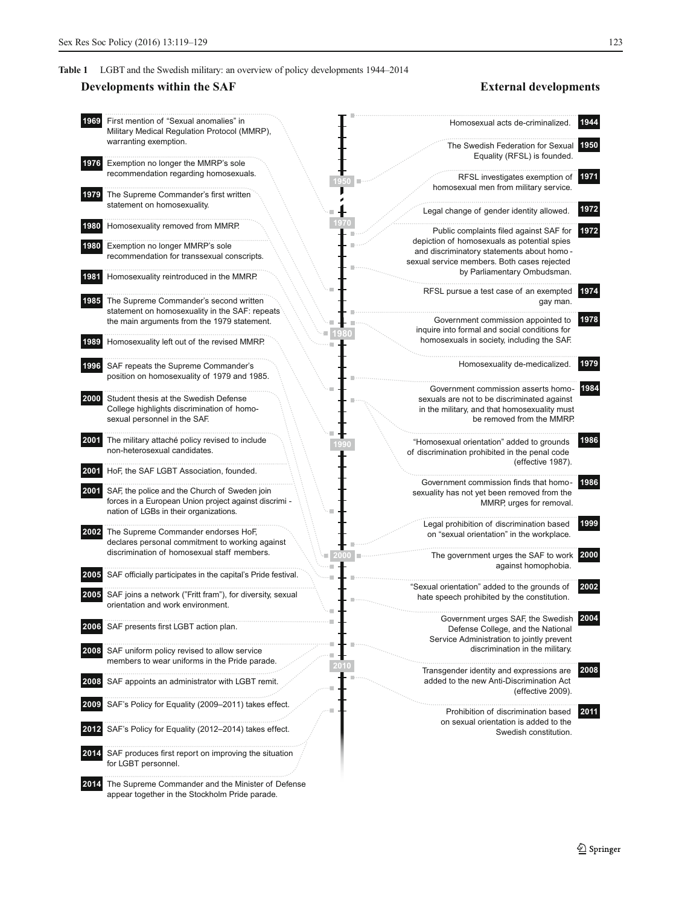# <span id="page-4-0"></span>Table 1 LGBT and the Swedish military: an overview of policy developments 1944–2014

# **Developments within the SAF External developments**

| 1969  | First mention of "Sexual anomalies" in<br>Military Medical Regulation Protocol (MMRP),                                                           | Homosexual acts de-criminalized.                                                                                                                                       | 1944 |
|-------|--------------------------------------------------------------------------------------------------------------------------------------------------|------------------------------------------------------------------------------------------------------------------------------------------------------------------------|------|
|       | warranting exemption.                                                                                                                            | The Swedish Federation for Sexual<br>Equality (RFSL) is founded.                                                                                                       | 1950 |
|       | 1976 Exemption no longer the MMRP's sole<br>recommendation regarding homosexuals.                                                                | RFSL investigates exemption of                                                                                                                                         | 1971 |
| 1979  | The Supreme Commander's first written                                                                                                            | homosexual men from military service.                                                                                                                                  |      |
|       | statement on homosexuality.                                                                                                                      | Legal change of gender identity allowed.                                                                                                                               | 1972 |
|       | 1980 Homosexuality removed from MMRP.                                                                                                            | Public complaints filed against SAF for                                                                                                                                | 1972 |
|       | 1980 Exemption no longer MMRP's sole<br>recommendation for transsexual conscripts.                                                               | depiction of homosexuals as potential spies<br>and discriminatory statements about homo-<br>sexual service members. Both cases rejected<br>by Parliamentary Ombudsman. |      |
| 1981  | Homosexuality reintroduced in the MMRP.                                                                                                          | RFSL pursue a test case of an exempted                                                                                                                                 | 1974 |
|       | 1985 The Supreme Commander's second written<br>statement on homosexuality in the SAF: repeats                                                    | gay man.                                                                                                                                                               |      |
|       | the main arguments from the 1979 statement.                                                                                                      | Government commission appointed to<br>inquire into formal and social conditions for                                                                                    | 1978 |
| 1989  | Homosexuality left out of the revised MMRP.                                                                                                      | homosexuals in society, including the SAF.                                                                                                                             |      |
|       | 1996 SAF repeats the Supreme Commander's<br>position on homosexuality of 1979 and 1985.                                                          | Homosexuality de-medicalized.                                                                                                                                          | 1979 |
|       | 2000 Student thesis at the Swedish Defense<br>College highlights discrimination of homo-<br>sexual personnel in the SAF.                         | Government commission asserts homo-<br>sexuals are not to be discriminated against<br>in the military, and that homosexuality must<br>be removed from the MMRP.        | 1984 |
| 2001  | The military attaché policy revised to include<br>non-heterosexual candidates.                                                                   | "Homosexual orientation" added to grounds<br>of discrimination prohibited in the penal code<br>(effective 1987).                                                       | 1986 |
| 2001  | HoF, the SAF LGBT Association, founded.                                                                                                          | Government commission finds that homo-                                                                                                                                 | 1986 |
| 2001  | SAF, the police and the Church of Sweden join<br>forces in a European Union project against discrimi -<br>nation of LGBs in their organizations. | sexuality has not yet been removed from the<br>MMRP, urges for removal.                                                                                                |      |
| 2002  | The Supreme Commander endorses HoF,<br>declares personal commitment to working against                                                           | Legal prohibition of discrimination based<br>on "sexual orientation" in the workplace.                                                                                 | 1999 |
|       | discrimination of homosexual staff members.                                                                                                      | The government urges the SAF to work<br>against homophobia.                                                                                                            | 2000 |
| 2005  | SAF officially participates in the capital's Pride festival.                                                                                     |                                                                                                                                                                        |      |
|       | 2005 SAF joins a network ("Fritt fram"), for diversity, sexual<br>orientation and work environment.                                              | "Sexual orientation" added to the grounds of<br>hate speech prohibited by the constitution.                                                                            | 2002 |
|       | presents first LGBT action plan.                                                                                                                 | Government urges SAF, the Swedish<br>Defense College, and the National<br>Service Administration to jointly prevent                                                    | 2004 |
| 2008  | SAF uniform policy revised to allow service                                                                                                      | discrimination in the military.                                                                                                                                        |      |
|       | members to wear uniforms in the Pride parade.                                                                                                    | Transgender identity and expressions are                                                                                                                               | 2008 |
| 2008  | SAF appoints an administrator with LGBT remit.                                                                                                   | added to the new Anti-Discrimination Act<br>(effective 2009).                                                                                                          |      |
| 2009  | SAF's Policy for Equality (2009–2011) takes effect.                                                                                              | Prohibition of discrimination based                                                                                                                                    | 2011 |
| 2012  | SAF's Policy for Equality (2012-2014) takes effect.                                                                                              | on sexual orientation is added to the<br>Swedish constitution.                                                                                                         |      |
| 2014. | SAF produces first report on improving the situation<br>for LGBT personnel.                                                                      |                                                                                                                                                                        |      |

**2014** The Supreme Commander and the Minister of Defense appear together in the Stockholm Pride parade.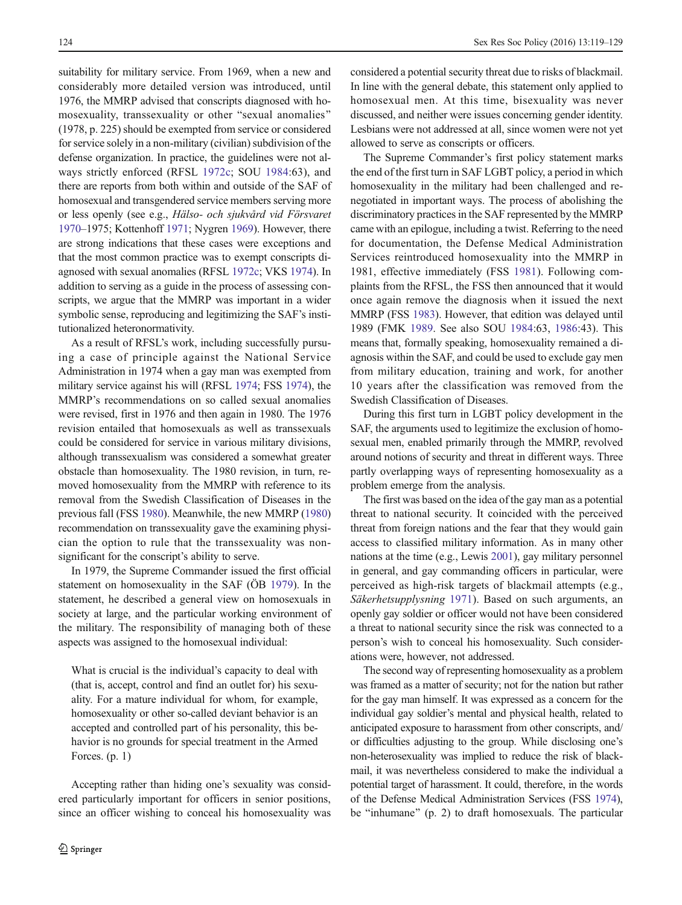suitability for military service. From 1969, when a new and considerably more detailed version was introduced, until 1976, the MMRP advised that conscripts diagnosed with homosexuality, transsexuality or other "sexual anomalies" (1978, p. 225) should be exempted from service or considered for service solely in a non-military (civilian) subdivision of the defense organization. In practice, the guidelines were not always strictly enforced (RFSL [1972c](#page-10-0); SOU [1984](#page-10-0):63), and there are reports from both within and outside of the SAF of homosexual and transgendered service members serving more or less openly (see e.g., Hälso- och sjukvård vid Försvaret [1970](#page-9-0)–1975; Kottenhoff [1971;](#page-9-0) Nygren [1969](#page-9-0)). However, there are strong indications that these cases were exceptions and that the most common practice was to exempt conscripts diagnosed with sexual anomalies (RFSL [1972c](#page-10-0); VKS [1974](#page-10-0)). In addition to serving as a guide in the process of assessing conscripts, we argue that the MMRP was important in a wider symbolic sense, reproducing and legitimizing the SAF's institutionalized heteronormativity.

As a result of RFSL's work, including successfully pursuing a case of principle against the National Service Administration in 1974 when a gay man was exempted from military service against his will (RFSL [1974;](#page-10-0) FSS [1974\)](#page-9-0), the MMRP's recommendations on so called sexual anomalies were revised, first in 1976 and then again in 1980. The 1976 revision entailed that homosexuals as well as transsexuals could be considered for service in various military divisions, although transsexualism was considered a somewhat greater obstacle than homosexuality. The 1980 revision, in turn, removed homosexuality from the MMRP with reference to its removal from the Swedish Classification of Diseases in the previous fall (FSS [1980\)](#page-9-0). Meanwhile, the new MMRP [\(1980\)](#page-9-0) recommendation on transsexuality gave the examining physician the option to rule that the transsexuality was nonsignificant for the conscript's ability to serve.

In 1979, the Supreme Commander issued the first official statement on homosexuality in the SAF (ÖB [1979\)](#page-9-0). In the statement, he described a general view on homosexuals in society at large, and the particular working environment of the military. The responsibility of managing both of these aspects was assigned to the homosexual individual:

What is crucial is the individual's capacity to deal with (that is, accept, control and find an outlet for) his sexuality. For a mature individual for whom, for example, homosexuality or other so-called deviant behavior is an accepted and controlled part of his personality, this behavior is no grounds for special treatment in the Armed Forces.  $(p. 1)$ 

Accepting rather than hiding one's sexuality was considered particularly important for officers in senior positions, since an officer wishing to conceal his homosexuality was considered a potential security threat due to risks of blackmail. In line with the general debate, this statement only applied to homosexual men. At this time, bisexuality was never discussed, and neither were issues concerning gender identity. Lesbians were not addressed at all, since women were not yet allowed to serve as conscripts or officers.

The Supreme Commander's first policy statement marks the end of the first turn in SAF LGBT policy, a period in which homosexuality in the military had been challenged and renegotiated in important ways. The process of abolishing the discriminatory practices in the SAF represented by the MMRP came with an epilogue, including a twist. Referring to the need for documentation, the Defense Medical Administration Services reintroduced homosexuality into the MMRP in 1981, effective immediately (FSS [1981\)](#page-9-0). Following complaints from the RFSL, the FSS then announced that it would once again remove the diagnosis when it issued the next MMRP (FSS [1983](#page-9-0)). However, that edition was delayed until 1989 (FMK [1989](#page-9-0). See also SOU [1984:](#page-10-0)63, [1986:](#page-10-0)43). This means that, formally speaking, homosexuality remained a diagnosis within the SAF, and could be used to exclude gay men from military education, training and work, for another 10 years after the classification was removed from the Swedish Classification of Diseases.

During this first turn in LGBT policy development in the SAF, the arguments used to legitimize the exclusion of homosexual men, enabled primarily through the MMRP, revolved around notions of security and threat in different ways. Three partly overlapping ways of representing homosexuality as a problem emerge from the analysis.

The first was based on the idea of the gay man as a potential threat to national security. It coincided with the perceived threat from foreign nations and the fear that they would gain access to classified military information. As in many other nations at the time (e.g., Lewis [2001\)](#page-9-0), gay military personnel in general, and gay commanding officers in particular, were perceived as high-risk targets of blackmail attempts (e.g., Säkerhetsupplysning [1971\)](#page-10-0). Based on such arguments, an openly gay soldier or officer would not have been considered a threat to national security since the risk was connected to a person's wish to conceal his homosexuality. Such considerations were, however, not addressed.

The second way of representing homosexuality as a problem was framed as a matter of security; not for the nation but rather for the gay man himself. It was expressed as a concern for the individual gay soldier's mental and physical health, related to anticipated exposure to harassment from other conscripts, and/ or difficulties adjusting to the group. While disclosing one's non-heterosexuality was implied to reduce the risk of blackmail, it was nevertheless considered to make the individual a potential target of harassment. It could, therefore, in the words of the Defense Medical Administration Services (FSS [1974\)](#page-9-0), be "inhumane"  $(p. 2)$  to draft homosexuals. The particular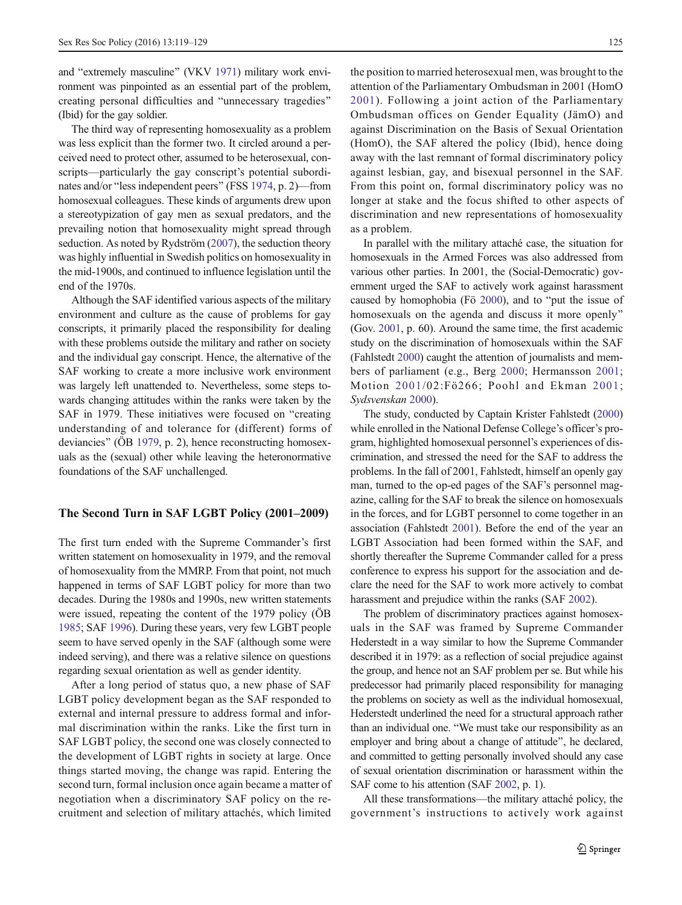and "extremely masculine" (VKV [1971](#page-10-0)) military work environment was pinpointed as an essential part of the problem, creating personal difficulties and "unnecessary tragedies" (Ibid) for the gay soldier.

The third way of representing homosexuality as a problem was less explicit than the former two. It circled around a perceived need to protect other, assumed to be heterosexual, conscripts—particularly the gay conscript's potential subordi-nates and/or "less independent peers" (FSS [1974,](#page-9-0) p. 2)—from homosexual colleagues. These kinds of arguments drew upon a stereotypization of gay men as sexual predators, and the prevailing notion that homosexuality might spread through seduction. As noted by Rydström [\(2007\)](#page-10-0), the seduction theory was highly influential in Swedish politics on homosexuality in the mid-1900s, and continued to influence legislation until the end of the 1970s.

Although the SAF identified various aspects of the military environment and culture as the cause of problems for gay conscripts, it primarily placed the responsibility for dealing with these problems outside the military and rather on society and the individual gay conscript. Hence, the alternative of the SAF working to create a more inclusive work environment was largely left unattended to. Nevertheless, some steps towards changing attitudes within the ranks were taken by the SAF in 1979. These initiatives were focused on "creating understanding of and tolerance for (different) forms of deviancies" (ÖB [1979,](#page-9-0) p. 2), hence reconstructing homosexuals as the (sexual) other while leaving the heteronormative foundations of the SAF unchallenged.

#### The Second Turn in SAF LGBT Policy (2001–2009)

The first turn ended with the Supreme Commander's first written statement on homosexuality in 1979, and the removal of homosexuality from the MMRP. From that point, not much happened in terms of SAF LGBT policy for more than two decades. During the 1980s and 1990s, new written statements were issued, repeating the content of the 1979 policy (ÖB [1985;](#page-9-0) SAF [1996](#page-10-0)). During these years, very few LGBT people seem to have served openly in the SAF (although some were indeed serving), and there was a relative silence on questions regarding sexual orientation as well as gender identity.

After a long period of status quo, a new phase of SAF LGBT policy development began as the SAF responded to external and internal pressure to address formal and informal discrimination within the ranks. Like the first turn in SAF LGBT policy, the second one was closely connected to the development of LGBT rights in society at large. Once things started moving, the change was rapid. Entering the second turn, formal inclusion once again became a matter of negotiation when a discriminatory SAF policy on the recruitment and selection of military attachés, which limited

the position to married heterosexual men, was brought to the attention of the Parliamentary Ombudsman in 2001 (HomO [2001](#page-9-0)). Following a joint action of the Parliamentary Ombudsman offices on Gender Equality (JämO) and against Discrimination on the Basis of Sexual Orientation (HomO), the SAF altered the policy (Ibid), hence doing away with the last remnant of formal discriminatory policy against lesbian, gay, and bisexual personnel in the SAF. From this point on, formal discriminatory policy was no longer at stake and the focus shifted to other aspects of discrimination and new representations of homosexuality as a problem.

In parallel with the military attaché case, the situation for homosexuals in the Armed Forces was also addressed from various other parties. In 2001, the (Social-Democratic) government urged the SAF to actively work against harassment caused by homophobia (Fö  $2000$ ), and to "put the issue of homosexuals on the agenda and discuss it more openly" (Gov. [2001](#page-9-0), p. 60). Around the same time, the first academic study on the discrimination of homosexuals within the SAF (Fahlstedt [2000\)](#page-9-0) caught the attention of journalists and members of parliament (e.g., Berg [2000](#page-9-0); Hermansson [2001;](#page-9-0) Motion [2001](#page-9-0)/02:Fö266; Poohl and Ekman [2001;](#page-10-0) Sydsvenskan [2000](#page-10-0)).

The study, conducted by Captain Krister Fahlstedt [\(2000](#page-9-0)) while enrolled in the National Defense College's officer's program, highlighted homosexual personnel's experiences of discrimination, and stressed the need for the SAF to address the problems. In the fall of 2001, Fahlstedt, himself an openly gay man, turned to the op-ed pages of the SAF's personnel magazine, calling for the SAF to break the silence on homosexuals in the forces, and for LGBT personnel to come together in an association (Fahlstedt [2001\)](#page-9-0). Before the end of the year an LGBT Association had been formed within the SAF, and shortly thereafter the Supreme Commander called for a press conference to express his support for the association and declare the need for the SAF to work more actively to combat harassment and prejudice within the ranks (SAF [2002](#page-10-0)).

The problem of discriminatory practices against homosexuals in the SAF was framed by Supreme Commander Hederstedt in a way similar to how the Supreme Commander described it in 1979: as a reflection of social prejudice against the group, and hence not an SAF problem per se. But while his predecessor had primarily placed responsibility for managing the problems on society as well as the individual homosexual, Hederstedt underlined the need for a structural approach rather than an individual one. "We must take our responsibility as an employer and bring about a change of attitude", he declared, and committed to getting personally involved should any case of sexual orientation discrimination or harassment within the SAF come to his attention (SAF [2002,](#page-10-0) p. 1).

All these transformations—the military attaché policy, the government's instructions to actively work against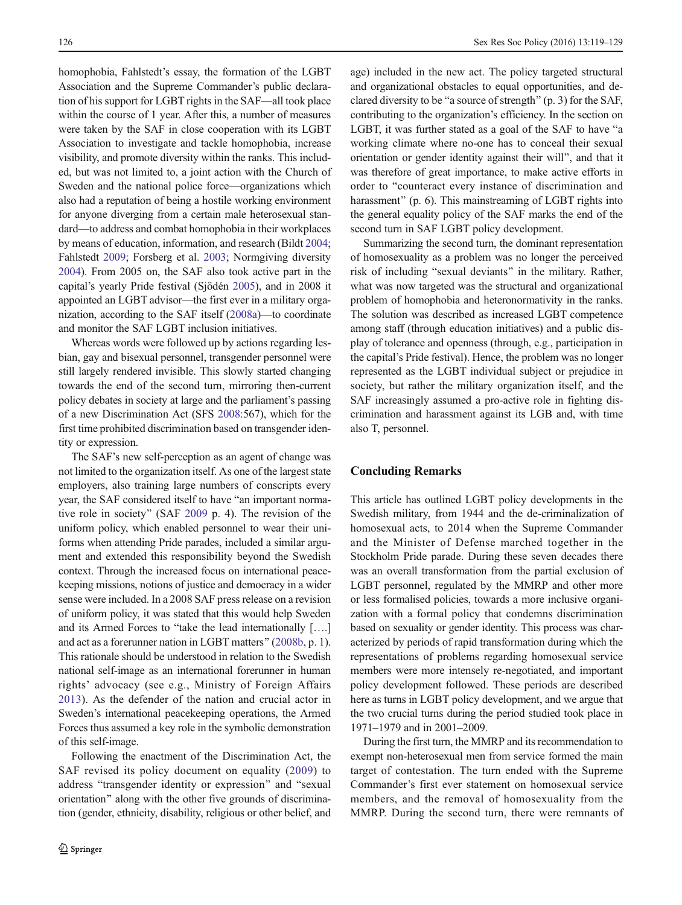homophobia, Fahlstedt's essay, the formation of the LGBT Association and the Supreme Commander's public declaration of his support for LGBT rights in the SAF—all took place within the course of 1 year. After this, a number of measures were taken by the SAF in close cooperation with its LGBT Association to investigate and tackle homophobia, increase visibility, and promote diversity within the ranks. This included, but was not limited to, a joint action with the Church of Sweden and the national police force—organizations which also had a reputation of being a hostile working environment for anyone diverging from a certain male heterosexual standard—to address and combat homophobia in their workplaces by means of education, information, and research (Bildt [2004](#page-9-0); Fahlstedt [2009;](#page-9-0) Forsberg et al. [2003;](#page-9-0) Normgiving diversity [2004\)](#page-9-0). From 2005 on, the SAF also took active part in the capital's yearly Pride festival (Sjödén [2005\)](#page-10-0), and in 2008 it appointed an LGBT advisor—the first ever in a military organization, according to the SAF itself ([2008a\)](#page-10-0)—to coordinate and monitor the SAF LGBT inclusion initiatives.

Whereas words were followed up by actions regarding lesbian, gay and bisexual personnel, transgender personnel were still largely rendered invisible. This slowly started changing towards the end of the second turn, mirroring then-current policy debates in society at large and the parliament's passing of a new Discrimination Act (SFS [2008:](#page-10-0)567), which for the first time prohibited discrimination based on transgender identity or expression.

The SAF's new self-perception as an agent of change was not limited to the organization itself. As one of the largest state employers, also training large numbers of conscripts every year, the SAF considered itself to have "an important norma-tive role in society" (SAF [2009](#page-10-0) p. 4). The revision of the uniform policy, which enabled personnel to wear their uniforms when attending Pride parades, included a similar argument and extended this responsibility beyond the Swedish context. Through the increased focus on international peacekeeping missions, notions of justice and democracy in a wider sense were included. In a 2008 SAF press release on a revision of uniform policy, it was stated that this would help Sweden and its Armed Forces to "take the lead internationally [....] and act as a forerunner nation in LGBT matters^ [\(2008b,](#page-10-0) p. 1). This rationale should be understood in relation to the Swedish national self-image as an international forerunner in human rights' advocacy (see e.g., Ministry of Foreign Affairs [2013](#page-9-0)). As the defender of the nation and crucial actor in Sweden's international peacekeeping operations, the Armed Forces thus assumed a key role in the symbolic demonstration of this self-image.

Following the enactment of the Discrimination Act, the SAF revised its policy document on equality ([2009\)](#page-10-0) to address "transgender identity or expression" and "sexual orientation" along with the other five grounds of discrimination (gender, ethnicity, disability, religious or other belief, and age) included in the new act. The policy targeted structural and organizational obstacles to equal opportunities, and declared diversity to be "a source of strength"  $(p, 3)$  for the SAF, contributing to the organization's efficiency. In the section on LGBT, it was further stated as a goal of the SAF to have "a working climate where no-one has to conceal their sexual orientation or gender identity against their will^, and that it was therefore of great importance, to make active efforts in order to "counteract every instance of discrimination and harassment" (p. 6). This mainstreaming of LGBT rights into the general equality policy of the SAF marks the end of the second turn in SAF LGBT policy development.

Summarizing the second turn, the dominant representation of homosexuality as a problem was no longer the perceived risk of including "sexual deviants" in the military. Rather, what was now targeted was the structural and organizational problem of homophobia and heteronormativity in the ranks. The solution was described as increased LGBT competence among staff (through education initiatives) and a public display of tolerance and openness (through, e.g., participation in the capital's Pride festival). Hence, the problem was no longer represented as the LGBT individual subject or prejudice in society, but rather the military organization itself, and the SAF increasingly assumed a pro-active role in fighting discrimination and harassment against its LGB and, with time also T, personnel.

#### Concluding Remarks

This article has outlined LGBT policy developments in the Swedish military, from 1944 and the de-criminalization of homosexual acts, to 2014 when the Supreme Commander and the Minister of Defense marched together in the Stockholm Pride parade. During these seven decades there was an overall transformation from the partial exclusion of LGBT personnel, regulated by the MMRP and other more or less formalised policies, towards a more inclusive organization with a formal policy that condemns discrimination based on sexuality or gender identity. This process was characterized by periods of rapid transformation during which the representations of problems regarding homosexual service members were more intensely re-negotiated, and important policy development followed. These periods are described here as turns in LGBT policy development, and we argue that the two crucial turns during the period studied took place in 1971–1979 and in 2001–2009.

During the first turn, the MMRP and its recommendation to exempt non-heterosexual men from service formed the main target of contestation. The turn ended with the Supreme Commander's first ever statement on homosexual service members, and the removal of homosexuality from the MMRP. During the second turn, there were remnants of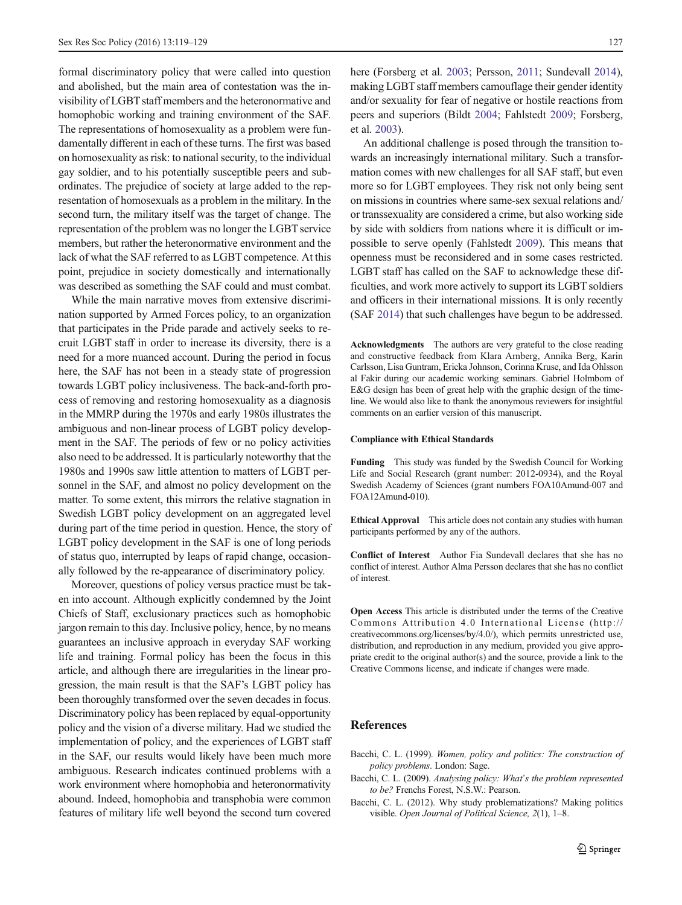<span id="page-8-0"></span>formal discriminatory policy that were called into question and abolished, but the main area of contestation was the invisibility of LGBT staff members and the heteronormative and homophobic working and training environment of the SAF. The representations of homosexuality as a problem were fundamentally different in each of these turns. The first was based on homosexuality as risk: to national security, to the individual gay soldier, and to his potentially susceptible peers and subordinates. The prejudice of society at large added to the representation of homosexuals as a problem in the military. In the second turn, the military itself was the target of change. The representation of the problem was no longer the LGBT service members, but rather the heteronormative environment and the lack of what the SAF referred to as LGBT competence. At this point, prejudice in society domestically and internationally was described as something the SAF could and must combat.

While the main narrative moves from extensive discrimination supported by Armed Forces policy, to an organization that participates in the Pride parade and actively seeks to recruit LGBT staff in order to increase its diversity, there is a need for a more nuanced account. During the period in focus here, the SAF has not been in a steady state of progression towards LGBT policy inclusiveness. The back-and-forth process of removing and restoring homosexuality as a diagnosis in the MMRP during the 1970s and early 1980s illustrates the ambiguous and non-linear process of LGBT policy development in the SAF. The periods of few or no policy activities also need to be addressed. It is particularly noteworthy that the 1980s and 1990s saw little attention to matters of LGBT personnel in the SAF, and almost no policy development on the matter. To some extent, this mirrors the relative stagnation in Swedish LGBT policy development on an aggregated level during part of the time period in question. Hence, the story of LGBT policy development in the SAF is one of long periods of status quo, interrupted by leaps of rapid change, occasionally followed by the re-appearance of discriminatory policy.

Moreover, questions of policy versus practice must be taken into account. Although explicitly condemned by the Joint Chiefs of Staff, exclusionary practices such as homophobic jargon remain to this day. Inclusive policy, hence, by no means guarantees an inclusive approach in everyday SAF working life and training. Formal policy has been the focus in this article, and although there are irregularities in the linear progression, the main result is that the SAF's LGBT policy has been thoroughly transformed over the seven decades in focus. Discriminatory policy has been replaced by equal-opportunity policy and the vision of a diverse military. Had we studied the implementation of policy, and the experiences of LGBT staff in the SAF, our results would likely have been much more ambiguous. Research indicates continued problems with a work environment where homophobia and heteronormativity abound. Indeed, homophobia and transphobia were common features of military life well beyond the second turn covered

here (Forsberg et al. [2003;](#page-9-0) Persson, [2011;](#page-10-0) Sundevall [2014\)](#page-10-0), making LGBT staff members camouflage their gender identity and/or sexuality for fear of negative or hostile reactions from peers and superiors (Bildt [2004;](#page-9-0) Fahlstedt [2009;](#page-9-0) Forsberg, et al. [2003](#page-9-0)).

An additional challenge is posed through the transition towards an increasingly international military. Such a transformation comes with new challenges for all SAF staff, but even more so for LGBT employees. They risk not only being sent on missions in countries where same-sex sexual relations and/ or transsexuality are considered a crime, but also working side by side with soldiers from nations where it is difficult or impossible to serve openly (Fahlstedt [2009](#page-9-0)). This means that openness must be reconsidered and in some cases restricted. LGBT staff has called on the SAF to acknowledge these difficulties, and work more actively to support its LGBT soldiers and officers in their international missions. It is only recently (SAF [2014](#page-10-0)) that such challenges have begun to be addressed.

Acknowledgments The authors are very grateful to the close reading and constructive feedback from Klara Arnberg, Annika Berg, Karin Carlsson, Lisa Guntram, Ericka Johnson, Corinna Kruse, and Ida Ohlsson al Fakir during our academic working seminars. Gabriel Holmbom of E&G design has been of great help with the graphic design of the timeline. We would also like to thank the anonymous reviewers for insightful comments on an earlier version of this manuscript.

#### Compliance with Ethical Standards

Funding This study was funded by the Swedish Council for Working Life and Social Research (grant number: 2012-0934), and the Royal Swedish Academy of Sciences (grant numbers FOA10Amund-007 and FOA12Amund-010).

Ethical Approval This article does not contain any studies with human participants performed by any of the authors.

Conflict of Interest Author Fia Sundevall declares that she has no conflict of interest. Author Alma Persson declares that she has no conflict of interest.

Open Access This article is distributed under the terms of the Creative Commons Attribution 4.0 International License (http:// creativecommons.org/licenses/by/4.0/), which permits unrestricted use, distribution, and reproduction in any medium, provided you give appropriate credit to the original author(s) and the source, provide a link to the Creative Commons license, and indicate if changes were made.

#### References

- Bacchi, C. L. (1999). Women, policy and politics: The construction of policy problems. London: Sage.
- Bacchi, C. L. (2009). Analysing policy: What's the problem represented to be? Frenchs Forest, N.S.W.: Pearson.
- Bacchi, C. L. (2012). Why study problematizations? Making politics visible. Open Journal of Political Science, 2(1), 1–8.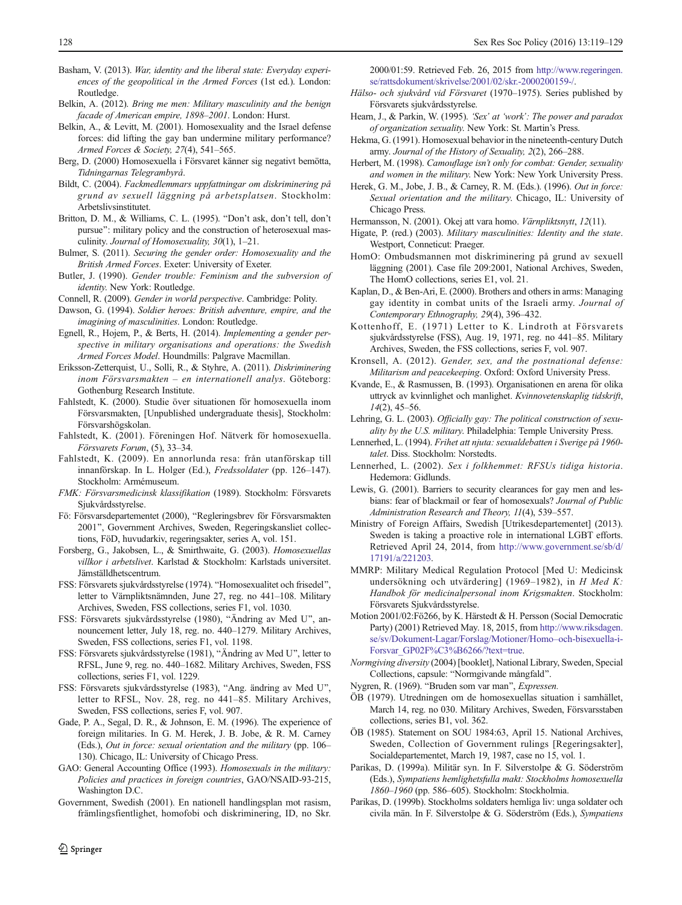- <span id="page-9-0"></span>Basham, V. (2013). War, identity and the liberal state: Everyday experiences of the geopolitical in the Armed Forces (1st ed.). London: Routledge.
- Belkin, A. (2012). Bring me men: Military masculinity and the benign facade of American empire, 1898–2001. London: Hurst.
- Belkin, A., & Levitt, M. (2001). Homosexuality and the Israel defense forces: did lifting the gay ban undermine military performance? Armed Forces & Society, 27(4), 541–565.
- Berg, D. (2000) Homosexuella i Försvaret känner sig negativt bemötta, Tidningarnas Telegrambyrå.
- Bildt, C. (2004). Fackmedlemmars uppfattningar om diskriminering på grund av sexuell läggning på arbetsplatsen. Stockholm: Arbetslivsinstitutet.
- Britton, D. M., & Williams, C. L. (1995). "Don't ask, don't tell, don't pursue": military policy and the construction of heterosexual masculinity. Journal of Homosexuality, 30(1), 1–21.
- Bulmer, S. (2011). Securing the gender order: Homosexuality and the British Armed Forces. Exeter: University of Exeter.
- Butler, J. (1990). Gender trouble: Feminism and the subversion of identity. New York: Routledge.
- Connell, R. (2009). Gender in world perspective. Cambridge: Polity.
- Dawson, G. (1994). Soldier heroes: British adventure, empire, and the imagining of masculinities. London: Routledge.
- Egnell, R., Hojem, P., & Berts, H. (2014). Implementing a gender perspective in military organisations and operations: the Swedish Armed Forces Model. Houndmills: Palgrave Macmillan.
- Eriksson-Zetterquist, U., Solli, R., & Styhre, A. (2011). Diskriminering inom Försvarsmakten – en internationell analys. Göteborg: Gothenburg Research Institute.
- Fahlstedt, K. (2000). Studie över situationen för homosexuella inom Försvarsmakten, [Unpublished undergraduate thesis], Stockholm: Försvarshögskolan.
- Fahlstedt, K. (2001). Föreningen Hof. Nätverk för homosexuella. Försvarets Forum, (5), 33–34.
- Fahlstedt, K. (2009). En annorlunda resa: från utanförskap till innanförskap. In L. Holger (Ed.), Fredssoldater (pp. 126–147). Stockholm: Armémuseum.
- FMK: Försvarsmedicinsk klassifikation (1989). Stockholm: Försvarets Sjukvårdsstyrelse.
- Fö: Försvarsdepartementet (2000), "Regleringsbrev för Försvarsmakten 2001", Government Archives, Sweden, Regeringskansliet collections, FöD, huvudarkiv, regeringsakter, series A, vol. 151.
- Forsberg, G., Jakobsen, L., & Smirthwaite, G. (2003). Homosexuellas villkor i arbetslivet. Karlstad & Stockholm: Karlstads universitet. Jämställdhetscentrum.
- FSS: Försvarets sjukvårdsstyrelse (1974). "Homosexualitet och frisedel", letter to Värnpliktsnämnden, June 27, reg. no 441–108. Military Archives, Sweden, FSS collections, series F1, vol. 1030.
- FSS: Försvarets sjukvårdsstyrelse (1980), "Ändring av Med U", announcement letter, July 18, reg. no. 440–1279. Military Archives, Sweden, FSS collections, series F1, vol. 1198.
- FSS: Försvarets sjukvårdsstyrelse (1981), "Ändring av Med U", letter to RFSL, June 9, reg. no. 440–1682. Military Archives, Sweden, FSS collections, series F1, vol. 1229.
- FSS: Försvarets sjukvårdsstyrelse (1983), "Ang. ändring av Med U", letter to RFSL, Nov. 28, reg. no 441–85. Military Archives, Sweden, FSS collections, series F, vol. 907.
- Gade, P. A., Segal, D. R., & Johnson, E. M. (1996). The experience of foreign militaries. In G. M. Herek, J. B. Jobe, & R. M. Carney (Eds.), Out in force: sexual orientation and the military (pp. 106– 130). Chicago, IL: University of Chicago Press.
- GAO: General Accounting Office (1993). Homosexuals in the military: Policies and practices in foreign countries, GAO/NSAID-93-215, Washington D.C.
- Government, Swedish (2001). En nationell handlingsplan mot rasism, främlingsfientlighet, homofobi och diskriminering, ID, no Skr.

2000/01:59. Retrieved Feb. 26, 2015 from [http://www.regeringen.](http://www.regeringen.se/rattsdokument/skrivelse/2001/02/skr.-2000200159-/) [se/rattsdokument/skrivelse/2001/02/skr.-2000200159-/.](http://www.regeringen.se/rattsdokument/skrivelse/2001/02/skr.-2000200159-/)

- Hälso- och sjukvård vid Försvaret (1970–1975). Series published by Försvarets sjukvårdsstyrelse.
- Hearn, J., & Parkin, W. (1995). 'Sex' at 'work': The power and paradox of organization sexuality. New York: St. Martin's Press.
- Hekma, G. (1991). Homosexual behavior in the nineteenth-century Dutch army. Journal of the History of Sexuality, 2(2), 266–288.
- Herbert, M. (1998). Camouflage isn't only for combat: Gender, sexuality and women in the military. New York: New York University Press.
- Herek, G. M., Jobe, J. B., & Carney, R. M. (Eds.). (1996). Out in force: Sexual orientation and the military. Chicago, IL: University of Chicago Press.
- Hermansson, N. (2001). Okej att vara homo. Värnpliktsnytt, 12(11).
- Higate, P. (red.) (2003). Military masculinities: Identity and the state. Westport, Conneticut: Praeger.
- HomO: Ombudsmannen mot diskriminering på grund av sexuell läggning (2001). Case file 209:2001, National Archives, Sweden, The HomO collections, series E1, vol. 21.
- Kaplan, D., & Ben-Ari, E. (2000). Brothers and others in arms: Managing gay identity in combat units of the Israeli army. Journal of Contemporary Ethnography, 29(4), 396–432.
- Kottenhoff, E. (1971) Letter to K. Lindroth at Försvarets sjukvårdsstyrelse (FSS), Aug. 19, 1971, reg. no 441–85. Military Archives, Sweden, the FSS collections, series F, vol. 907.
- Kronsell, A. (2012). Gender, sex, and the postnational defense: Militarism and peacekeeping. Oxford: Oxford University Press.
- Kvande, E., & Rasmussen, B. (1993). Organisationen en arena för olika uttryck av kvinnlighet och manlighet. Kvinnovetenskaplig tidskrift, 14(2), 45–56.
- Lehring, G. L. (2003). Officially gay: The political construction of sexuality by the U.S. military. Philadelphia: Temple University Press.
- Lennerhed, L. (1994). Frihet att njuta: sexualdebatten i Sverige på 1960 talet. Diss. Stockholm: Norstedts.
- Lennerhed, L. (2002). Sex i folkhemmet: RFSUs tidiga historia. Hedemora: Gidlunds.
- Lewis, G. (2001). Barriers to security clearances for gay men and lesbians: fear of blackmail or fear of homosexuals? Journal of Public Administration Research and Theory, 11(4), 539–557.
- Ministry of Foreign Affairs, Swedish [Utrikesdepartementet] (2013). Sweden is taking a proactive role in international LGBT efforts. Retrieved April 24, 2014, from [http://www.government.se/sb/d/](http://www.government.se/sb/d/17191/a/221203) [17191/a/221203.](http://www.government.se/sb/d/17191/a/221203)
- MMRP: Military Medical Regulation Protocol [Med U: Medicinsk undersökning och utvärdering] (1969–1982), in H Med K: Handbok för medicinalpersonal inom Krigsmakten. Stockholm: Försvarets Sjukvårdsstyrelse.
- Motion 2001/02:Fö266, by K. Härstedt & H. Persson (Social Democratic Party) (2001) Retrieved May. 18, 2015, from [http://www.riksdagen.](http://www.riksdagen.se/sv/Dokument-Lagar/Forslag/Motioner/Homo--och-bisexuella-i-Forsvar_GP02F%C3%B6266/?text=true) [se/sv/Dokument-Lagar/Forslag/Motioner/Homo](http://www.riksdagen.se/sv/Dokument-Lagar/Forslag/Motioner/Homo--och-bisexuella-i-Forsvar_GP02F%C3%B6266/?text=true)–och-bisexuella-i-[Forsvar\\_GP02F%C3%B6266/?text=true](http://www.riksdagen.se/sv/Dokument-Lagar/Forslag/Motioner/Homo--och-bisexuella-i-Forsvar_GP02F%C3%B6266/?text=true).
- Normgiving diversity (2004) [booklet], National Library, Sweden, Special Collections, capsule: "Normgivande mångfald".
- Nygren, R. (1969). "Bruden som var man", Expressen.
- ÖB (1979). Utredningen om de homosexuellas situation i samhället, March 14, reg. no 030. Military Archives, Sweden, Försvarsstaben collections, series B1, vol. 362.
- ÖB (1985). Statement on SOU 1984:63, April 15. National Archives, Sweden, Collection of Government rulings [Regeringsakter], Socialdepartementet, March 19, 1987, case no 15, vol. 1.
- Parikas, D. (1999a). Militär syn. In F. Silverstolpe & G. Söderström (Eds.), Sympatiens hemlighetsfulla makt: Stockholms homosexuella 1860–1960 (pp. 586–605). Stockholm: Stockholmia.
- Parikas, D. (1999b). Stockholms soldaters hemliga liv: unga soldater och civila män. In F. Silverstolpe & G. Söderström (Eds.), Sympatiens